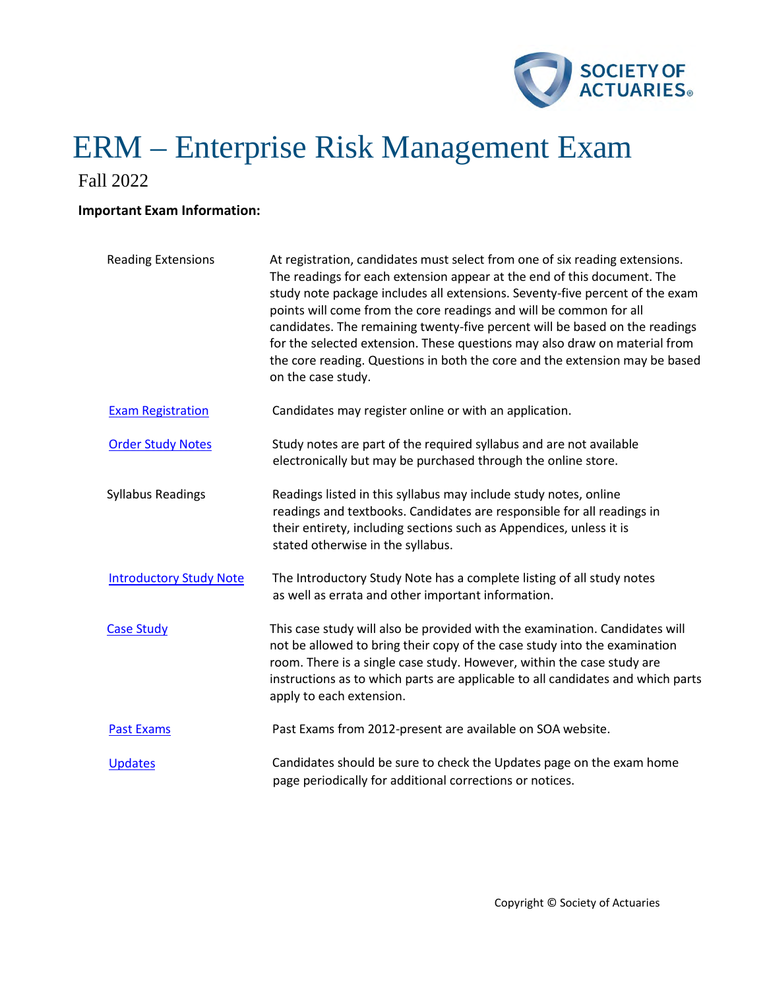

Fall 2022

# **Important Exam Information:**

| <b>Reading Extensions</b>      | At registration, candidates must select from one of six reading extensions.<br>The readings for each extension appear at the end of this document. The<br>study note package includes all extensions. Seventy-five percent of the exam<br>points will come from the core readings and will be common for all<br>candidates. The remaining twenty-five percent will be based on the readings<br>for the selected extension. These questions may also draw on material from<br>the core reading. Questions in both the core and the extension may be based<br>on the case study. |
|--------------------------------|--------------------------------------------------------------------------------------------------------------------------------------------------------------------------------------------------------------------------------------------------------------------------------------------------------------------------------------------------------------------------------------------------------------------------------------------------------------------------------------------------------------------------------------------------------------------------------|
| <b>Exam Registration</b>       | Candidates may register online or with an application.                                                                                                                                                                                                                                                                                                                                                                                                                                                                                                                         |
| <b>Order Study Notes</b>       | Study notes are part of the required syllabus and are not available<br>electronically but may be purchased through the online store.                                                                                                                                                                                                                                                                                                                                                                                                                                           |
| <b>Syllabus Readings</b>       | Readings listed in this syllabus may include study notes, online<br>readings and textbooks. Candidates are responsible for all readings in<br>their entirety, including sections such as Appendices, unless it is<br>stated otherwise in the syllabus.                                                                                                                                                                                                                                                                                                                         |
| <b>Introductory Study Note</b> | The Introductory Study Note has a complete listing of all study notes<br>as well as errata and other important information.                                                                                                                                                                                                                                                                                                                                                                                                                                                    |
| <b>Case Study</b>              | This case study will also be provided with the examination. Candidates will<br>not be allowed to bring their copy of the case study into the examination<br>room. There is a single case study. However, within the case study are<br>instructions as to which parts are applicable to all candidates and which parts<br>apply to each extension.                                                                                                                                                                                                                              |
| <b>Past Exams</b>              | Past Exams from 2012-present are available on SOA website.                                                                                                                                                                                                                                                                                                                                                                                                                                                                                                                     |
| <b>Updates</b>                 | Candidates should be sure to check the Updates page on the exam home<br>page periodically for additional corrections or notices.                                                                                                                                                                                                                                                                                                                                                                                                                                               |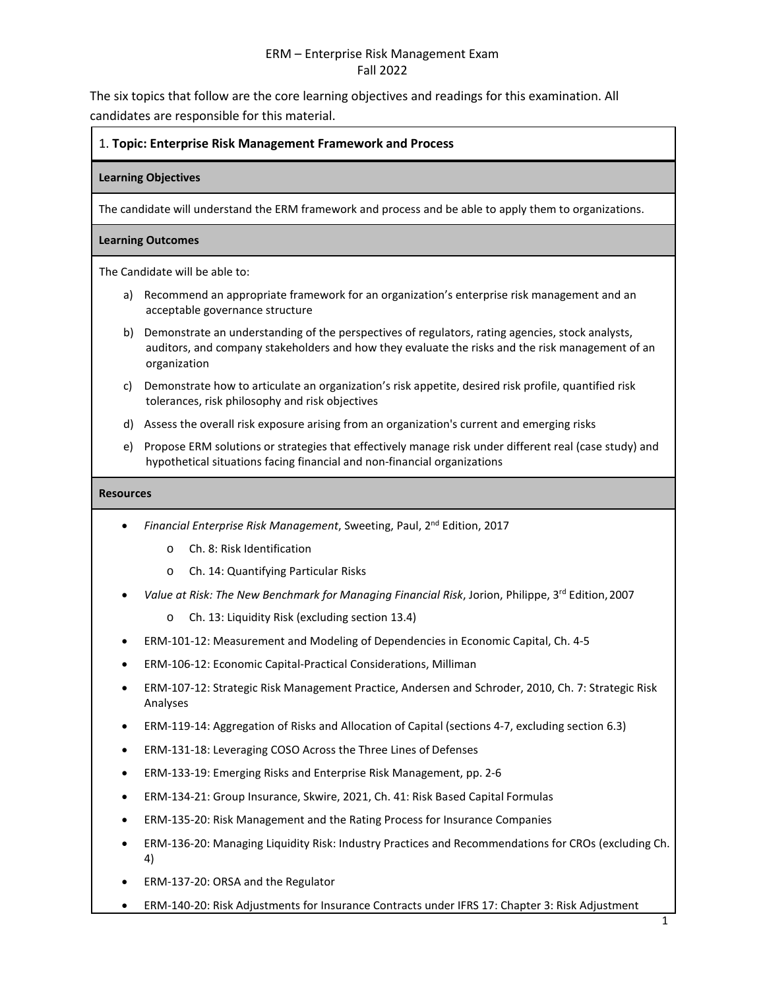The six topics that follow are the core learning objectives and readings for this examination. All candidates are responsible for this material.

# 1. **Topic: Enterprise Risk Management Framework and Process**

## **Learning Objectives**

The candidate will understand the ERM framework and process and be able to apply them to organizations.

## **Learning Outcomes**

The Candidate will be able to:

- a) Recommend an appropriate framework for an organization's enterprise risk management and an acceptable governance structure
- b) Demonstrate an understanding of the perspectives of regulators, rating agencies, stock analysts, auditors, and company stakeholders and how they evaluate the risks and the risk management of an organization
- c) Demonstrate how to articulate an organization's risk appetite, desired risk profile, quantified risk tolerances, risk philosophy and risk objectives
- d) Assess the overall risk exposure arising from an organization's current and emerging risks
- e) Propose ERM solutions or strategies that effectively manage risk under different real (case study) and hypothetical situations facing financial and non-financial organizations

- *Financial Enterprise Risk Management*, Sweeting, Paul, 2nd Edition, 2017
	- o Ch. 8: Risk Identification
	- o Ch. 14: Quantifying Particular Risks
- *Value at Risk: The New Benchmark for Managing Financial Risk*, Jorion, Philippe, 3rd Edition,2007
	- o Ch. 13: Liquidity Risk (excluding section 13.4)
- ERM-101-12: Measurement and Modeling of Dependencies in Economic Capital, Ch. 4-5
- ERM-106-12: Economic Capital-Practical Considerations, Milliman
- ERM-107-12: Strategic Risk Management Practice, Andersen and Schroder, 2010, Ch. 7: Strategic Risk Analyses
- ERM-119-14: Aggregation of Risks and Allocation of Capital (sections 4-7, excluding section 6.3)
- ERM-131-18: Leveraging COSO Across the Three Lines of Defenses
- ERM-133-19: Emerging Risks and Enterprise Risk Management, pp. 2-6
- ERM-134-21: Group Insurance, Skwire, 2021, Ch. 41: Risk Based Capital Formulas
- ERM-135-20: Risk Management and the Rating Process for Insurance Companies
- ERM-136-20: Managing Liquidity Risk: Industry Practices and Recommendations for CROs (excluding Ch. 4)
- ERM-137-20: ORSA and the Regulator
- ERM-140-20: Risk Adjustments for Insurance Contracts under IFRS 17: Chapter 3: Risk Adjustment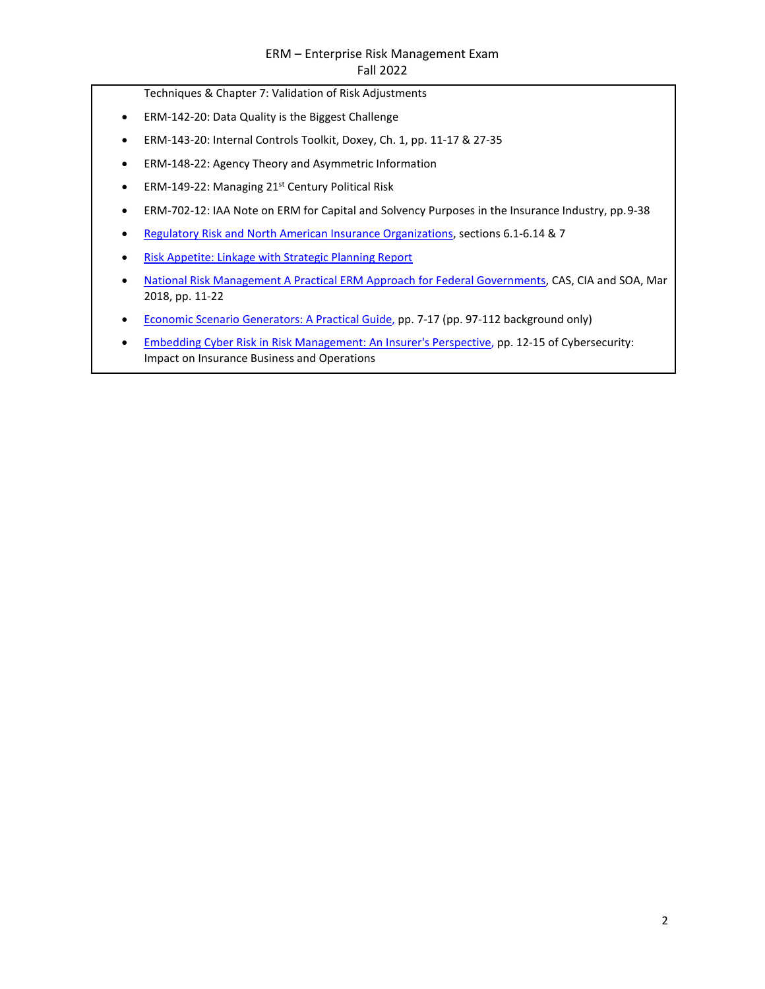- Techniques & Chapter 7: Validation of Risk Adjustments
- ERM-142-20: Data Quality is the Biggest Challenge
- ERM-143-20: Internal Controls Toolkit, Doxey, Ch. 1, pp. 11-17 & 27-35
- ERM-148-22: Agency Theory and Asymmetric Information
- ERM-149-22: Managing 21st Century Political Risk
- ERM-702-12: IAA Note on ERM for Capital and Solvency Purposes in the Insurance Industry, pp. 9-38
- [Regulatory Risk and North American Insurance Organizations,](https://www.soa.org/globalassets/assets/Files/Research/research-2014-reg-risk.pdf) sections 6.1-6.14 & 7
- [Risk Appetite: Linkage with Strategic Planning Report](http://www.soa.org/globalassets/assets/Files/Research/Projects/research-risk-app-link-report.pdf)
- [National Risk Management A Practical ERM Approach for Federal Governments,](https://www.soa.org/globalassets/assets/files/resources/research-report/2018/national-risk-management.pdf) CAS, CIA and SOA, Mar 2018, pp. 11-22
- [Economic Scenario Generators: A Practical Guide, p](https://www.soa.org/globalassets/assets/Files/Research/Projects/research-2016-economic-scenario-generators.pdf)p. 7-17 (pp. 97-112 background only)
- [Embedding Cyber Risk in Risk Management: An Insurer's Perspective, p](https://www.soa.org/globalassets/assets/files/static-pages/sections/joint-risk-mgmt/cyber-security-impact.pdf)p. 12-15 of Cybersecurity: Impact on Insurance Business and Operations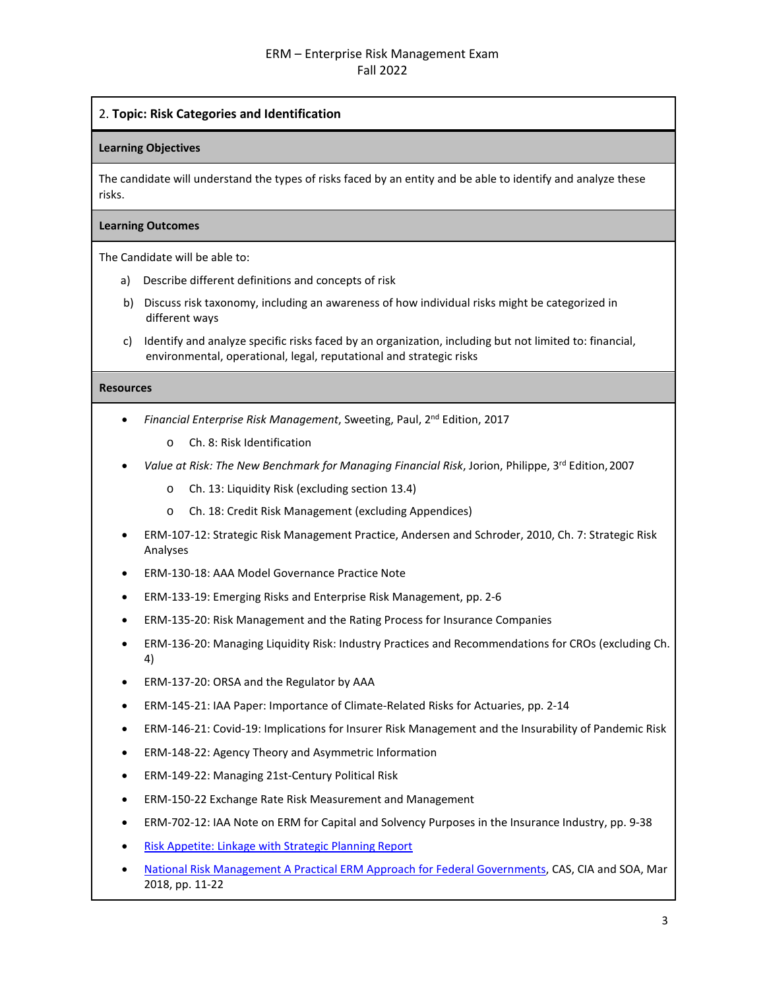# 2. **Topic: Risk Categories and Identification**

## **Learning Objectives**

The candidate will understand the types of risks faced by an entity and be able to identify and analyze these risks.

## **Learning Outcomes**

The Candidate will be able to:

- a) Describe different definitions and concepts of risk
- b) Discuss risk taxonomy, including an awareness of how individual risks might be categorized in different ways
- c) Identify and analyze specific risks faced by an organization, including but not limited to: financial, environmental, operational, legal, reputational and strategic risks

- *Financial Enterprise Risk Management*, Sweeting, Paul, 2nd Edition, 2017
	- o Ch. 8: Risk Identification
- Value at Risk: The New Benchmark for Managing Financial Risk, Jorion, Philippe, 3<sup>rd</sup> Edition, 2007
	- o Ch. 13: Liquidity Risk (excluding section 13.4)
	- o Ch. 18: Credit Risk Management (excluding Appendices)
- ERM-107-12: Strategic Risk Management Practice, Andersen and Schroder, 2010, Ch. 7: Strategic Risk Analyses
- ERM-130-18: AAA Model Governance Practice Note
- ERM-133-19: Emerging Risks and Enterprise Risk Management, pp. 2-6
- ERM-135-20: Risk Management and the Rating Process for Insurance Companies
- ERM-136-20: Managing Liquidity Risk: Industry Practices and Recommendations for CROs (excluding Ch. 4)
- ERM-137-20: ORSA and the Regulator by AAA
- ERM-145-21: IAA Paper: Importance of Climate-Related Risks for Actuaries, pp. 2-14
- ERM-146-21: Covid-19: Implications for Insurer Risk Management and the Insurability of Pandemic Risk
- ERM-148-22: Agency Theory and Asymmetric Information
- ERM-149-22: Managing 21st-Century Political Risk
- ERM-150-22 Exchange Rate Risk Measurement and Management
- ERM-702-12: IAA Note on ERM for Capital and Solvency Purposes in the Insurance Industry, pp. 9-38
- [Risk Appetite: Linkage with Strategic Planning](http://www.soa.org/globalassets/assets/Files/Research/Projects/research-risk-app-link-report.pdf) Report
- [National Risk Management A Practical ERM Approach for Federal Governments,](https://www.soa.org/globalassets/assets/files/resources/research-report/2018/national-risk-management.pdf) CAS, CIA and SOA, Mar 2018, pp. 11-22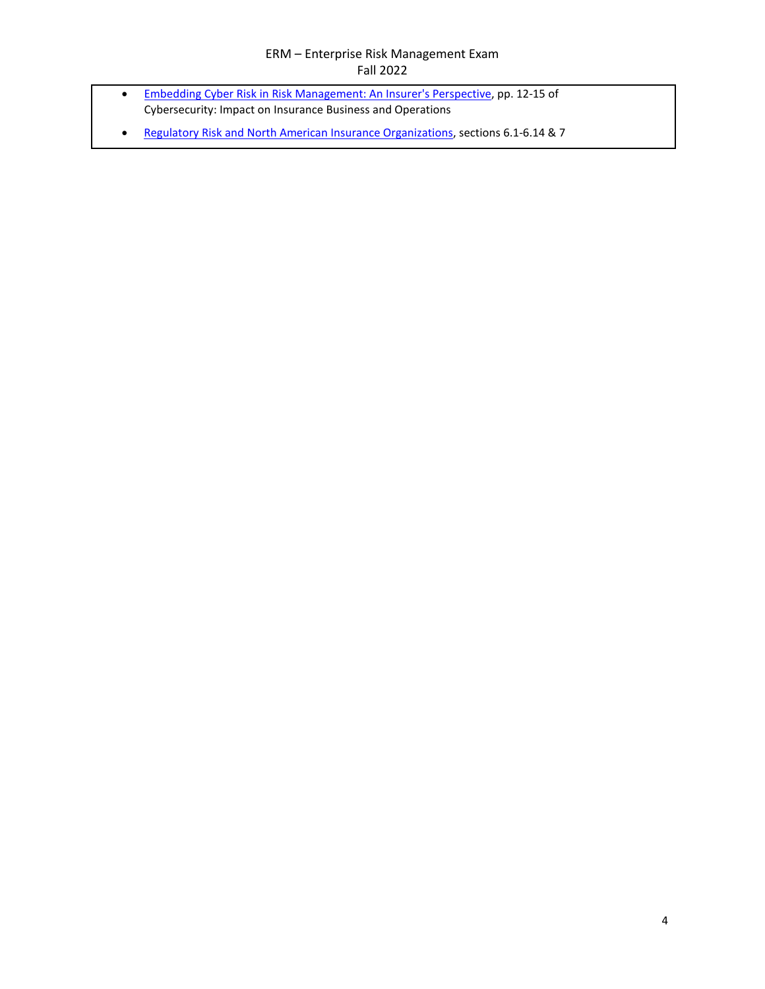- [Embedding Cyber Risk in Risk Management: An Insurer's Perspective, p](https://www.soa.org/globalassets/assets/files/static-pages/sections/joint-risk-mgmt/cyber-security-impact.pdf)p. 12-15 of Cybersecurity: Impact on Insurance Business and Operations
- [Regulatory Risk and North American Insurance Organizations,](https://www.soa.org/globalassets/assets/Files/Research/research-2014-reg-risk.pdf) sections 6.1-6.14 & 7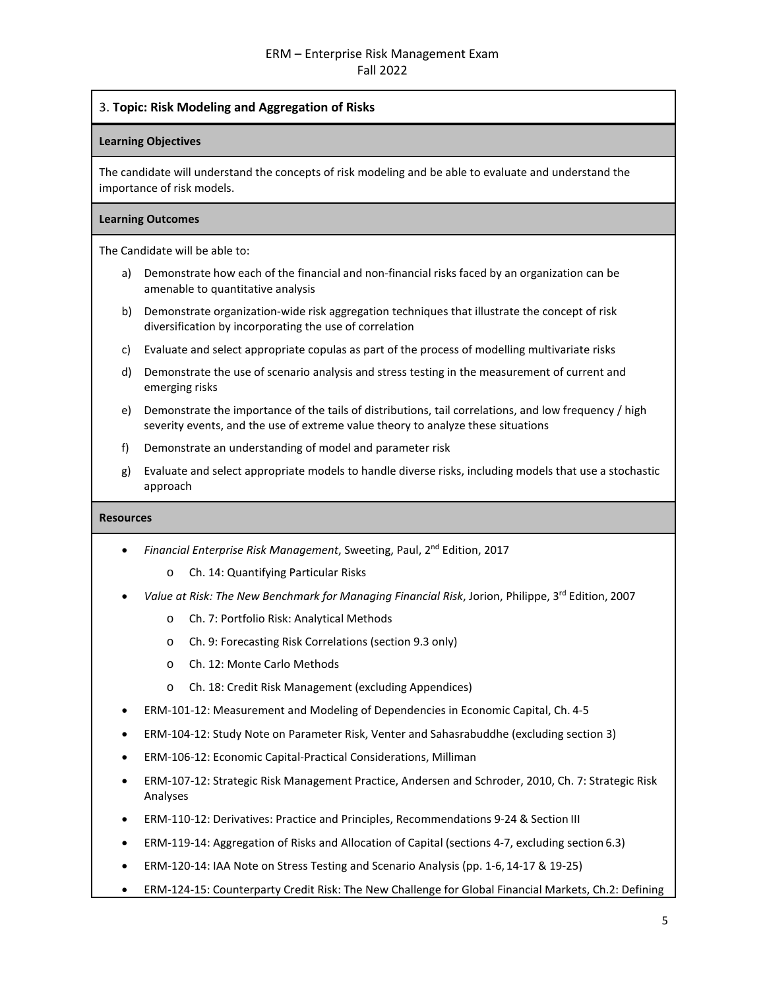3. **Topic: Risk Modeling and Aggregation of Risks**

## **Learning Objectives**

The candidate will understand the concepts of risk modeling and be able to evaluate and understand the importance of risk models.

## **Learning Outcomes**

The Candidate will be able to:

- a) Demonstrate how each of the financial and non-financial risks faced by an organization can be amenable to quantitative analysis
- b) Demonstrate organization-wide risk aggregation techniques that illustrate the concept of risk diversification by incorporating the use of correlation
- c) Evaluate and select appropriate copulas as part of the process of modelling multivariate risks
- d) Demonstrate the use of scenario analysis and stress testing in the measurement of current and emerging risks
- e) Demonstrate the importance of the tails of distributions, tail correlations, and low frequency / high severity events, and the use of extreme value theory to analyze these situations
- f) Demonstrate an understanding of model and parameter risk
- g) Evaluate and select appropriate models to handle diverse risks, including models that use a stochastic approach

- *Financial Enterprise Risk Management*, Sweeting, Paul, 2nd Edition, 2017
	- o Ch. 14: Quantifying Particular Risks
- Value at Risk: The New Benchmark for Managing Financial Risk, Jorion, Philippe, 3<sup>rd</sup> Edition, 2007
	- o Ch. 7: Portfolio Risk: Analytical Methods
	- o Ch. 9: Forecasting Risk Correlations (section 9.3 only)
	- o Ch. 12: Monte Carlo Methods
	- o Ch. 18: Credit Risk Management (excluding Appendices)
- ERM-101-12: Measurement and Modeling of Dependencies in Economic Capital, Ch. 4-5
- ERM-104-12: Study Note on Parameter Risk, Venter and Sahasrabuddhe (excluding section 3)
- ERM-106-12: Economic Capital-Practical Considerations, Milliman
- ERM-107-12: Strategic Risk Management Practice, Andersen and Schroder, 2010, Ch. 7: Strategic Risk Analyses
- ERM-110-12: Derivatives: Practice and Principles, Recommendations 9-24 & Section III
- ERM-119-14: Aggregation of Risks and Allocation of Capital (sections 4-7, excluding section 6.3)
- ERM-120-14: IAA Note on Stress Testing and Scenario Analysis (pp. 1-6, 14-17 & 19-25)
- ERM-124-15: Counterparty Credit Risk: The New Challenge for Global Financial Markets, Ch.2: Defining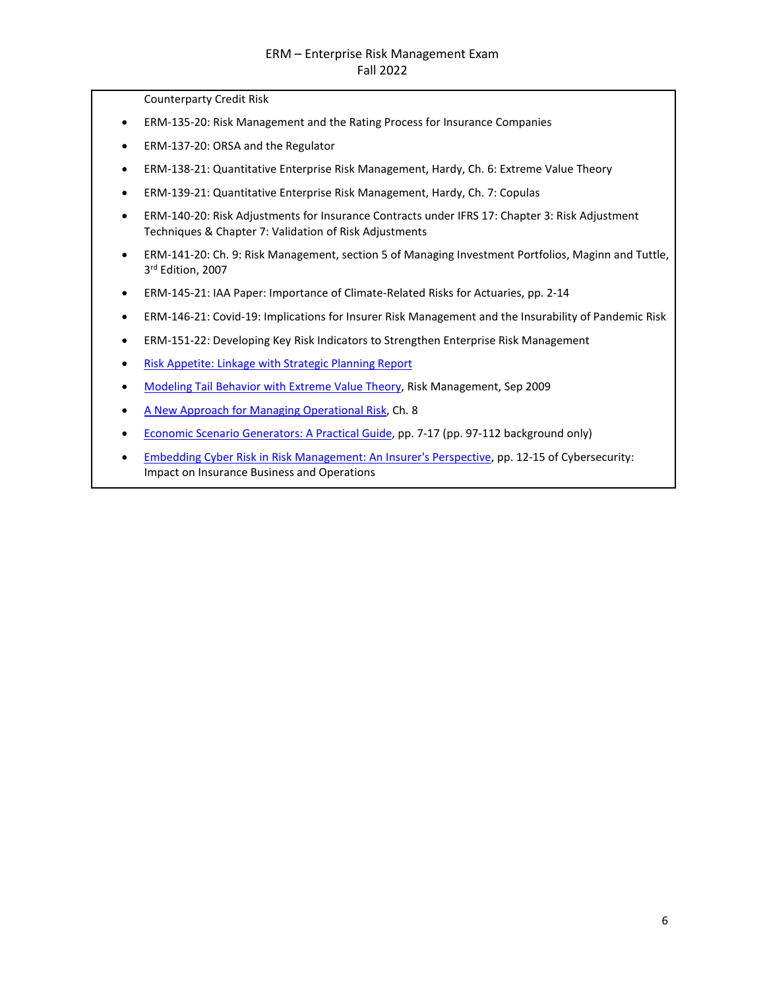Counterparty Credit Risk

- ERM-135-20: Risk Management and the Rating Process for Insurance Companies
- ERM-137-20: ORSA and the Regulator
- ERM-138-21: Quantitative Enterprise Risk Management, Hardy, Ch. 6: Extreme Value Theory
- ERM-139-21: Quantitative Enterprise Risk Management, Hardy, Ch. 7: Copulas
- ERM-140-20: Risk Adjustments for Insurance Contracts under IFRS 17: Chapter 3: Risk Adjustment Techniques & Chapter 7: Validation of Risk Adjustments
- ERM-141-20: Ch. 9: Risk Management, section 5 of Managing Investment Portfolios, Maginn and Tuttle, 3rd Edition, 2007
- ERM-145-21: IAA Paper: Importance of Climate-Related Risks for Actuaries, pp. 2-14
- ERM-146-21: Covid-19: Implications for Insurer Risk Management and the Insurability of Pandemic Risk
- ERM-151-22: Developing Key Risk Indicators to Strengthen Enterprise Risk Management
- [Risk Appetite: Linkage with Strategic Planning](http://www.soa.org/globalassets/assets/Files/Research/Projects/research-risk-app-link-report.pdf) Report
- [Modeling Tail Behavior with Extreme Value Theory, R](https://www.soa.org/globalassets/assets/library/newsletters/risk-management-newsletter/2009/september/jrm-2009-iss17.pdf)isk Management, Sep 2009
- [A New Approach for Managing Operational Risk, C](https://www.soa.org/globalassets/assets/Files/Research/Projects/research-new-approach.pdf)h. 8
- [Economic Scenario Generators: A Practical Guide, p](https://www.soa.org/globalassets/assets/Files/Research/Projects/research-2016-economic-scenario-generators.pdf)p. 7-17 (pp. 97-112 background only)
- [Embedding Cyber Risk in Risk Management: An Insurer's Perspective, p](https://www.soa.org/globalassets/assets/files/static-pages/sections/joint-risk-mgmt/cyber-security-impact.pdf)p. 12-15 of Cybersecurity: Impact on Insurance Business and Operations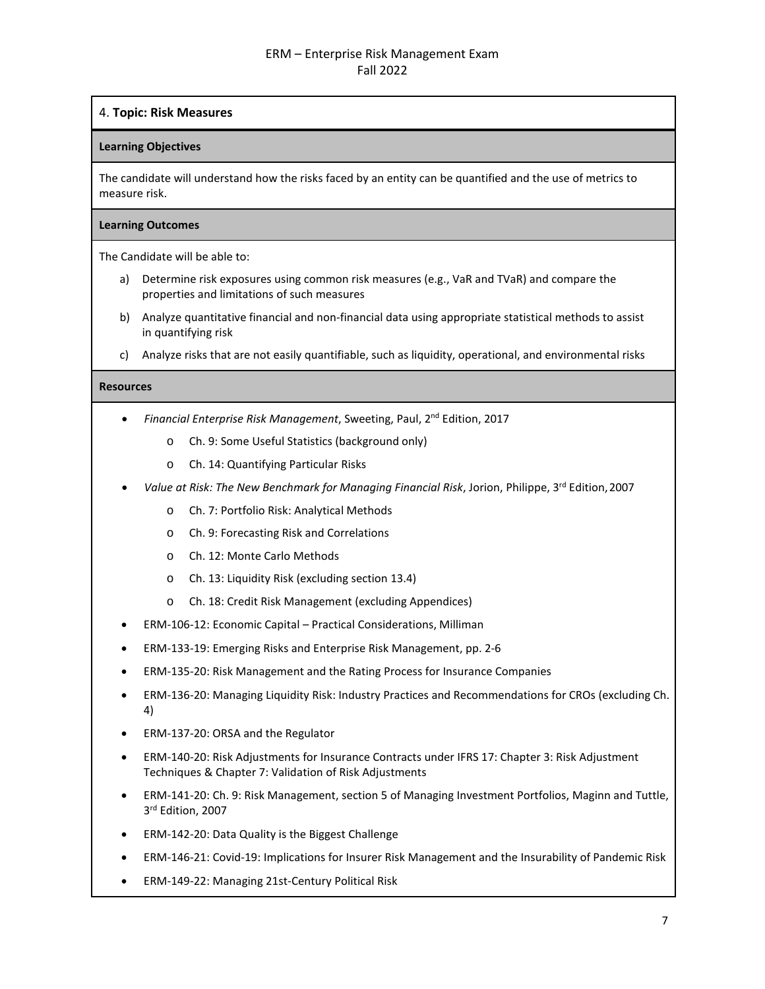# 4. **Topic: Risk Measures**

## **Learning Objectives**

The candidate will understand how the risks faced by an entity can be quantified and the use of metrics to measure risk.

## **Learning Outcomes**

The Candidate will be able to:

- a) Determine risk exposures using common risk measures (e.g., VaR and TVaR) and compare the properties and limitations of such measures
- b) Analyze quantitative financial and non-financial data using appropriate statistical methods to assist in quantifying risk
- c) Analyze risks that are not easily quantifiable, such as liquidity, operational, and environmental risks

- *Financial Enterprise Risk Management*, Sweeting, Paul, 2nd Edition, 2017
	- o Ch. 9: Some Useful Statistics (background only)
	- o Ch. 14: Quantifying Particular Risks
- *Value at Risk: The New Benchmark for Managing Financial Risk*, Jorion, Philippe, 3rd Edition,2007
	- o Ch. 7: Portfolio Risk: Analytical Methods
	- o Ch. 9: Forecasting Risk and Correlations
	- o Ch. 12: Monte Carlo Methods
	- o Ch. 13: Liquidity Risk (excluding section 13.4)
	- o Ch. 18: Credit Risk Management (excluding Appendices)
- ERM-106-12: Economic Capital Practical Considerations, Milliman
- ERM-133-19: Emerging Risks and Enterprise Risk Management, pp. 2-6
- ERM-135-20: Risk Management and the Rating Process for Insurance Companies
- ERM-136-20: Managing Liquidity Risk: Industry Practices and Recommendations for CROs (excluding Ch. 4)
- ERM-137-20: ORSA and the Regulator
- ERM-140-20: Risk Adjustments for Insurance Contracts under IFRS 17: Chapter 3: Risk Adjustment Techniques & Chapter 7: Validation of Risk Adjustments
- ERM-141-20: Ch. 9: Risk Management, section 5 of Managing Investment Portfolios, Maginn and Tuttle, 3rd Edition, 2007
- ERM-142-20: Data Quality is the Biggest Challenge
- ERM-146-21: Covid-19: Implications for Insurer Risk Management and the Insurability of Pandemic Risk
- ERM-149-22: Managing 21st-Century Political Risk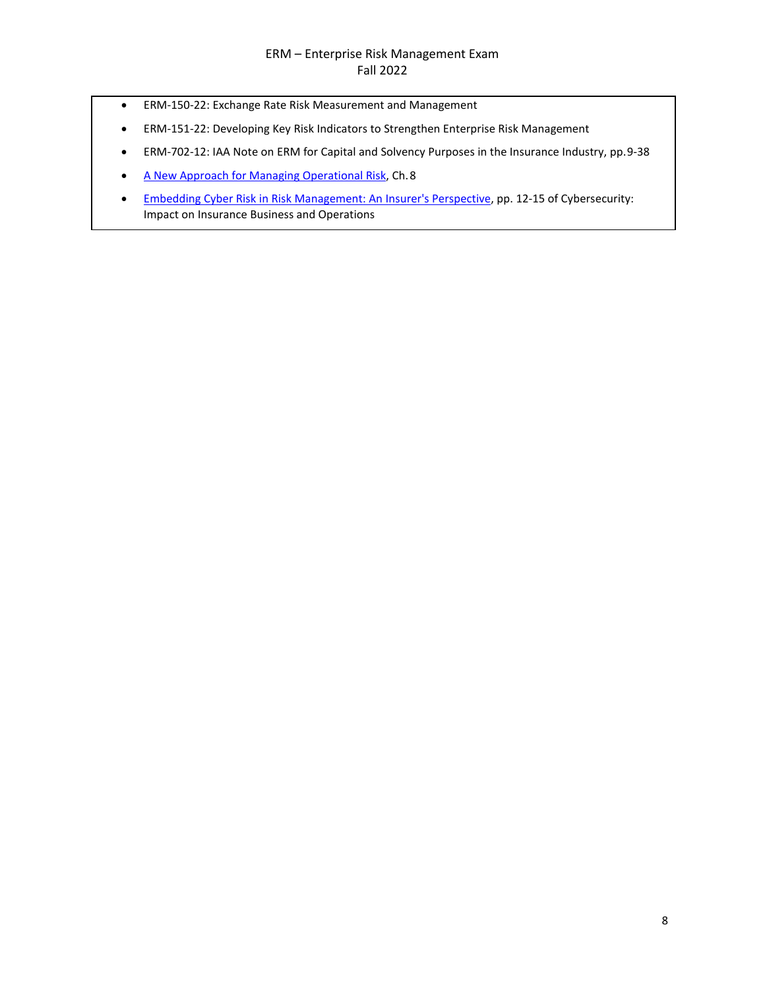- ERM-150-22: Exchange Rate Risk Measurement and Management
- ERM-151-22: Developing Key Risk Indicators to Strengthen Enterprise Risk Management
- ERM-702-12: IAA Note on ERM for Capital and Solvency Purposes in the Insurance Industry, pp. 9-38
- [A New Approach for Managing Operational Risk, C](https://www.soa.org/globalassets/assets/Files/Research/Projects/research-new-approach.pdf)h. 8
- [Embedding Cyber Risk in Risk Management: An Insurer's Perspective, p](https://www.soa.org/globalassets/assets/files/static-pages/sections/joint-risk-mgmt/cyber-security-impact.pdf)p. 12-15 of Cybersecurity: Impact on Insurance Business and Operations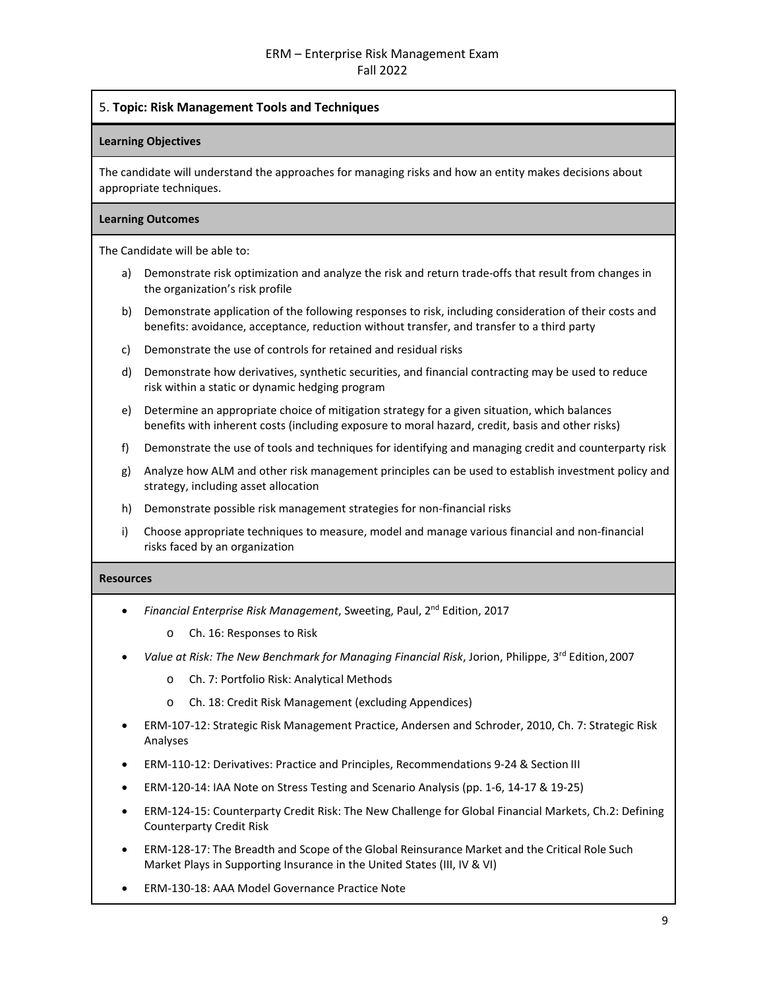# 5. **Topic: Risk Management Tools and Techniques**

#### **Learning Objectives**

The candidate will understand the approaches for managing risks and how an entity makes decisions about appropriate techniques.

#### **Learning Outcomes**

The Candidate will be able to:

- a) Demonstrate risk optimization and analyze the risk and return trade-offs that result from changes in the organization's risk profile
- b) Demonstrate application of the following responses to risk, including consideration of their costs and benefits: avoidance, acceptance, reduction without transfer, and transfer to a third party
- c) Demonstrate the use of controls for retained and residual risks
- d) Demonstrate how derivatives, synthetic securities, and financial contracting may be used to reduce risk within a static or dynamic hedging program
- e) Determine an appropriate choice of mitigation strategy for a given situation, which balances benefits with inherent costs (including exposure to moral hazard, credit, basis and other risks)
- f) Demonstrate the use of tools and techniques for identifying and managing credit and counterparty risk
- g) Analyze how ALM and other risk management principles can be used to establish investment policy and strategy, including asset allocation
- h) Demonstrate possible risk management strategies for non-financial risks
- i) Choose appropriate techniques to measure, model and manage various financial and non-financial risks faced by an organization

- *Financial Enterprise Risk Management*, Sweeting, Paul, 2nd Edition, 2017
	- o Ch. 16: Responses to Risk
- *Value at Risk: The New Benchmark for Managing Financial Risk*, Jorion, Philippe, 3rd Edition,2007
	- o Ch. 7: Portfolio Risk: Analytical Methods
	- o Ch. 18: Credit Risk Management (excluding Appendices)
- ERM-107-12: Strategic Risk Management Practice, Andersen and Schroder, 2010, Ch. 7: Strategic Risk Analyses
- ERM-110-12: Derivatives: Practice and Principles, Recommendations 9-24 & Section III
- ERM-120-14: IAA Note on Stress Testing and Scenario Analysis (pp. 1-6, 14-17 & 19-25)
- ERM-124-15: Counterparty Credit Risk: The New Challenge for Global Financial Markets, Ch.2: Defining Counterparty Credit Risk
- ERM-128-17: The Breadth and Scope of the Global Reinsurance Market and the Critical Role Such Market Plays in Supporting Insurance in the United States (III, IV & VI)
- ERM-130-18: AAA Model Governance Practice Note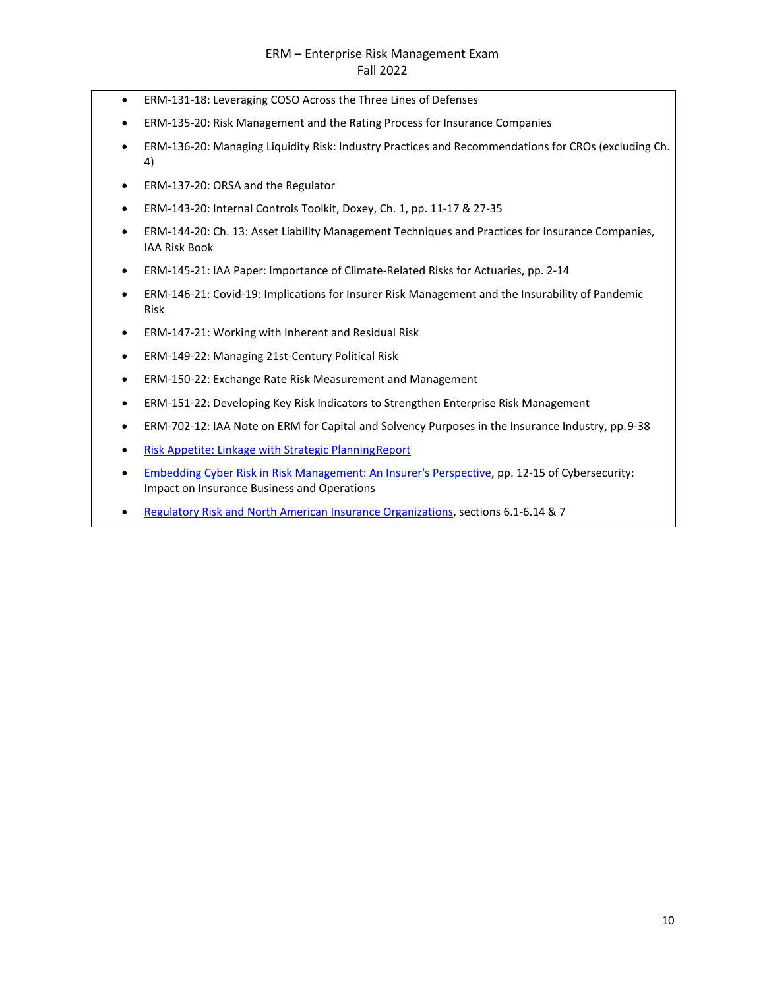- ERM-131-18: Leveraging COSO Across the Three Lines of Defenses
- ERM-135-20: Risk Management and the Rating Process for Insurance Companies
- ERM-136-20: Managing Liquidity Risk: Industry Practices and Recommendations for CROs (excluding Ch. 4)
- ERM-137-20: ORSA and the Regulator
- ERM-143-20: Internal Controls Toolkit, Doxey, Ch. 1, pp. 11-17 & 27-35
- ERM-144-20: Ch. 13: Asset Liability Management Techniques and Practices for Insurance Companies, IAA Risk Book
- ERM-145-21: IAA Paper: Importance of Climate-Related Risks for Actuaries, pp. 2-14
- ERM-146-21: Covid-19: Implications for Insurer Risk Management and the Insurability of Pandemic Risk
- ERM-147-21: Working with Inherent and Residual Risk
- ERM-149-22: Managing 21st-Century Political Risk
- ERM-150-22: Exchange Rate Risk Measurement and Management
- ERM-151-22: Developing Key Risk Indicators to Strengthen Enterprise Risk Management
- ERM-702-12: IAA Note on ERM for Capital and Solvency Purposes in the Insurance Industry, pp. 9-38
- [Risk Appetite: Linkage with Strategic PlanningReport](https://www.soa.org/globalassets/assets/Files/Research/Projects/research-risk-app-link-report.pdf)
- [Embedding Cyber Risk in Risk Management: An Insurer's Perspective, p](https://www.soa.org/globalassets/assets/files/static-pages/sections/joint-risk-mgmt/cyber-security-impact.pdf)p. 12-15 of Cybersecurity: Impact on Insurance Business and Operations
- [Regulatory Risk and North American Insurance Organizations,](https://www.soa.org/globalassets/assets/Files/Research/research-2014-reg-risk.pdf) sections 6.1-6.14 & 7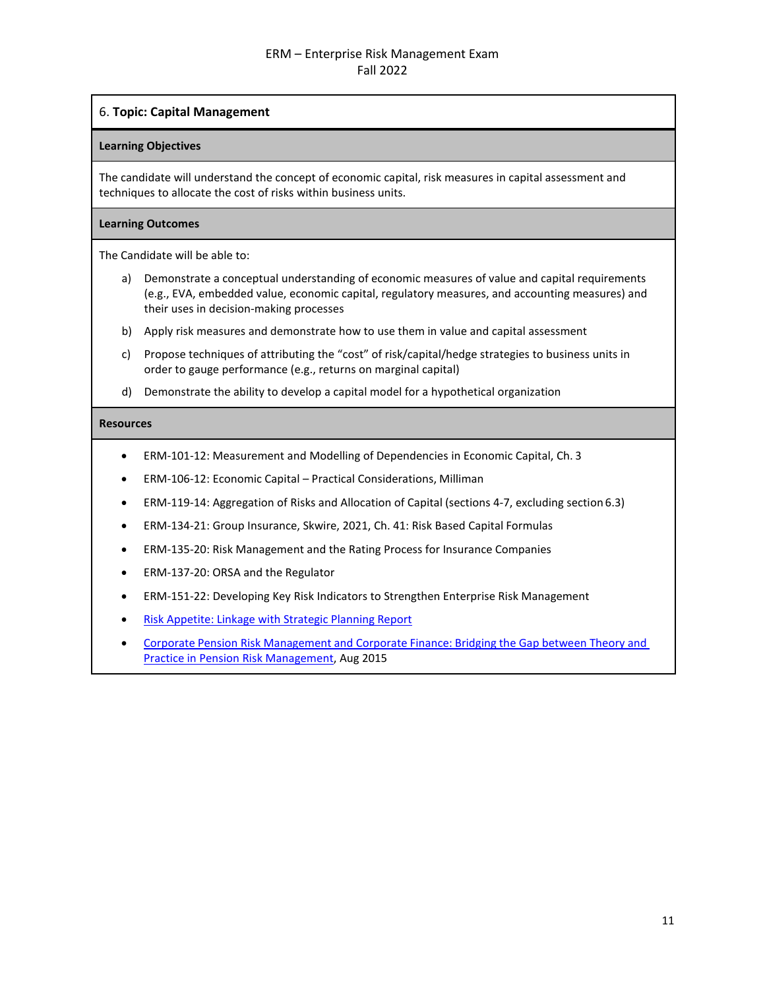# 6. **Topic: Capital Management**

#### **Learning Objectives**

The candidate will understand the concept of economic capital, risk measures in capital assessment and techniques to allocate the cost of risks within business units.

## **Learning Outcomes**

The Candidate will be able to:

- a) Demonstrate a conceptual understanding of economic measures of value and capital requirements (e.g., EVA, embedded value, economic capital, regulatory measures, and accounting measures) and their uses in decision-making processes
- b) Apply risk measures and demonstrate how to use them in value and capital assessment
- c) Propose techniques of attributing the "cost" of risk/capital/hedge strategies to business units in order to gauge performance (e.g., returns on marginal capital)
- d) Demonstrate the ability to develop a capital model for a hypothetical organization

- ERM-101-12: Measurement and Modelling of Dependencies in Economic Capital, Ch. 3
- ERM-106-12: Economic Capital Practical Considerations, Milliman
- ERM-119-14: Aggregation of Risks and Allocation of Capital (sections 4-7, excluding section 6.3)
- ERM-134-21: Group Insurance, Skwire, 2021, Ch. 41: Risk Based Capital Formulas
- ERM-135-20: Risk Management and the Rating Process for Insurance Companies
- ERM-137-20: ORSA and the Regulator
- ERM-151-22: Developing Key Risk Indicators to Strengthen Enterprise Risk Management
- [Risk Appetite: Linkage with Strategic Planning](https://www.soa.org/globalassets/assets/Files/Research/Projects/research-risk-app-link-report.pdf) Report
- Corporate Pension Risk [Management](https://www.soa.org/globalassets/assets/Files/Research/Projects/research-2015-corporate-pension-risk-management.pdf) and Corporate Finance: Bridging the Gap between Theory an[d](https://www.soa.org/globalassets/assets/Files/Research/Projects/research-2015-corporate-pension-risk-management.pdf) [Practice in Pension Risk](https://www.soa.org/globalassets/assets/Files/Research/Projects/research-2015-corporate-pension-risk-management.pdf) Management, Aug 2015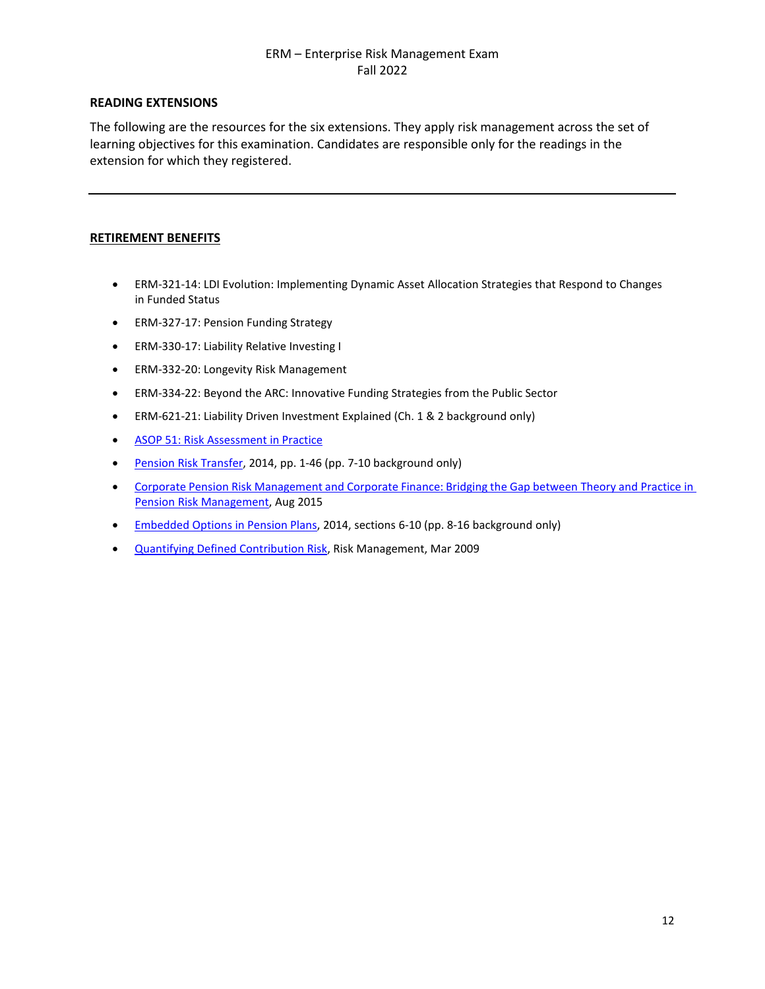# **READING EXTENSIONS**

The following are the resources for the six extensions. They apply risk management across the set of learning objectives for this examination. Candidates are responsible only for the readings in the extension for which they registered.

# **RETIREMENT BENEFITS**

- ERM-321-14: LDI Evolution: Implementing Dynamic Asset Allocation Strategies that Respond to Changes in Funded Status
- ERM-327-17: Pension Funding Strategy
- ERM-330-17: Liability Relative Investing I
- ERM-332-20: Longevity Risk Management
- ERM-334-22: Beyond the ARC: Innovative Funding Strategies from the Public Sector
- ERM-621-21: Liability Driven Investment Explained (Ch. 1 & 2 background only)
- [ASOP 51: Risk Assessment in Practice](https://www.actuary.org/sites/default/files/2020-07/ASOP_51_Practice_Note.pdf)
- [Pension Risk Transfer, 2](https://www.soa.org/globalassets/assets/Files/Research/Projects/2014-pension-risk-transfer-study.pdf)014, pp. 1-46 (pp. 7-10 background only)
- Corporate Pension Risk [Management](https://www.soa.org/globalassets/assets/Files/Research/Projects/research-2015-corporate-pension-risk-management.pdf) and Corporate Finance: Bridging the Gap between Theory and [Practice in](https://www.soa.org/globalassets/assets/Files/Research/Projects/research-2015-corporate-pension-risk-management.pdf)  Pension Risk [Management,](https://www.soa.org/globalassets/assets/Files/Research/Projects/research-2015-corporate-pension-risk-management.pdf) Aug 2015
- [Embedded Options in Pension Plans, 2](https://www.soa.org/globalassets/assets/Files/Research/Projects/research-emb-opt-val-cash-report.pdf)014, sections 6-10 (pp. 8-16 background only)
- [Quantifying Defined Contribution Risk,](https://www.soa.org/globalassets/assets/library/newsletters/risk-management-newsletter/2009/march/jrm-2009-iss15-lalani.pdf) Risk Management, Mar 2009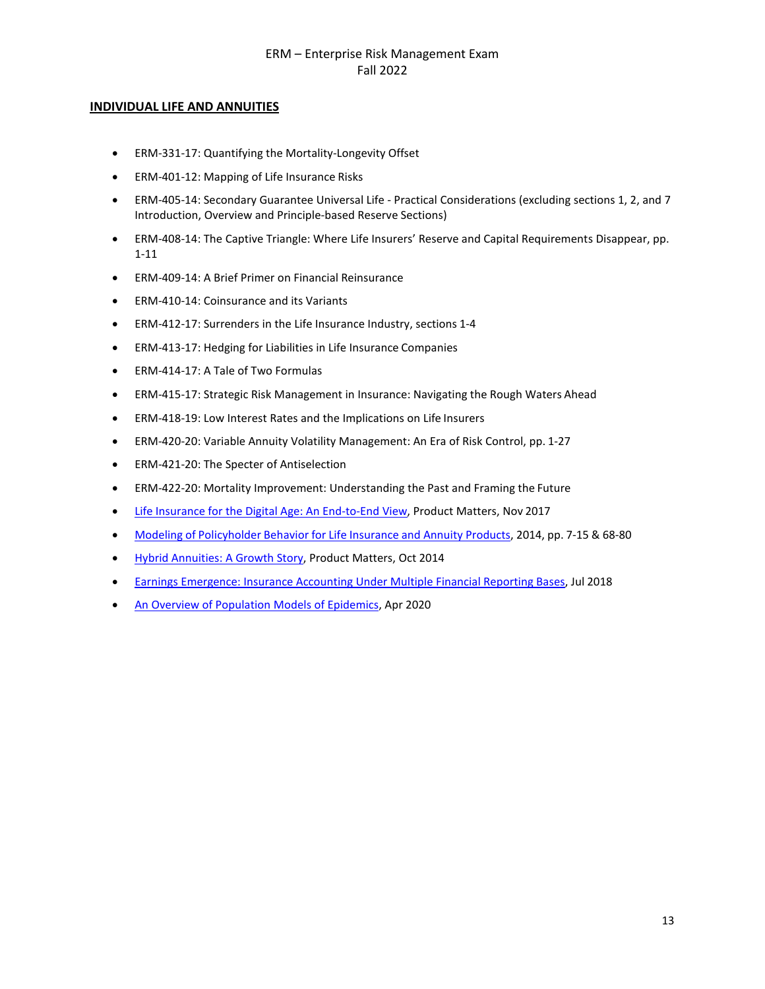## **INDIVIDUAL LIFE AND ANNUITIES**

- ERM-331-17: Quantifying the Mortality-Longevity Offset
- ERM-401-12: Mapping of Life Insurance Risks
- ERM-405-14: Secondary Guarantee Universal Life Practical Considerations (excluding sections 1, 2, and 7 Introduction, Overview and Principle-based Reserve Sections)
- ERM-408-14: The Captive Triangle: Where Life Insurers' Reserve and Capital Requirements Disappear, pp. 1-11
- ERM-409-14: A Brief Primer on Financial Reinsurance
- ERM-410-14: Coinsurance and its Variants
- ERM-412-17: Surrenders in the Life Insurance Industry, sections 1-4
- ERM-413-17: Hedging for Liabilities in Life Insurance Companies
- ERM-414-17: A Tale of Two Formulas
- ERM-415-17: Strategic Risk Management in Insurance: Navigating the Rough Waters Ahead
- ERM-418-19: Low Interest Rates and the Implications on Life Insurers
- ERM-420-20: Variable Annuity Volatility Management: An Era of Risk Control, pp. 1-27
- ERM-421-20: The Specter of Antiselection
- ERM-422-20: Mortality Improvement: Understanding the Past and Framing the Future
- [Life Insurance for the Digital Age: An End-to-End View, P](https://www.soa.org/globalassets/assets/Library/Newsletters/Product-Development-News/2017/november/pro-2017-iss108-nayak-abrokwah.pdf)roduct Matters, Nov 2017
- Modeling of Policyholder Behavior for Life Insurance and Annuity [Products, 2014,](https://www.soa.org/globalassets/assets/Files/Research/Projects/research-2014-modeling-policy.pdf) pp. 7-15 & 68-80
- [Hybrid Annuities: A Growth Story, P](https://www.soa.org/globalassets/assets/Library/Newsletters/Product-Development-News/2014/october/pro-2014-iss90.pdf)roduct Matters, Oct 2014
- [Earnings Emergence: Insurance Accounting Under Multiple Financial Reporting Bases,](https://www.soa.org/globalassets/assets/files/static-pages/research/topics/earnings-emergence.pdf) Jul 2018
- [An Overview of Population Models of Epidemics,](https://www.soa.org/globalassets/assets/files/resources/research-report/2020/overview-population-models.pdf) Apr 2020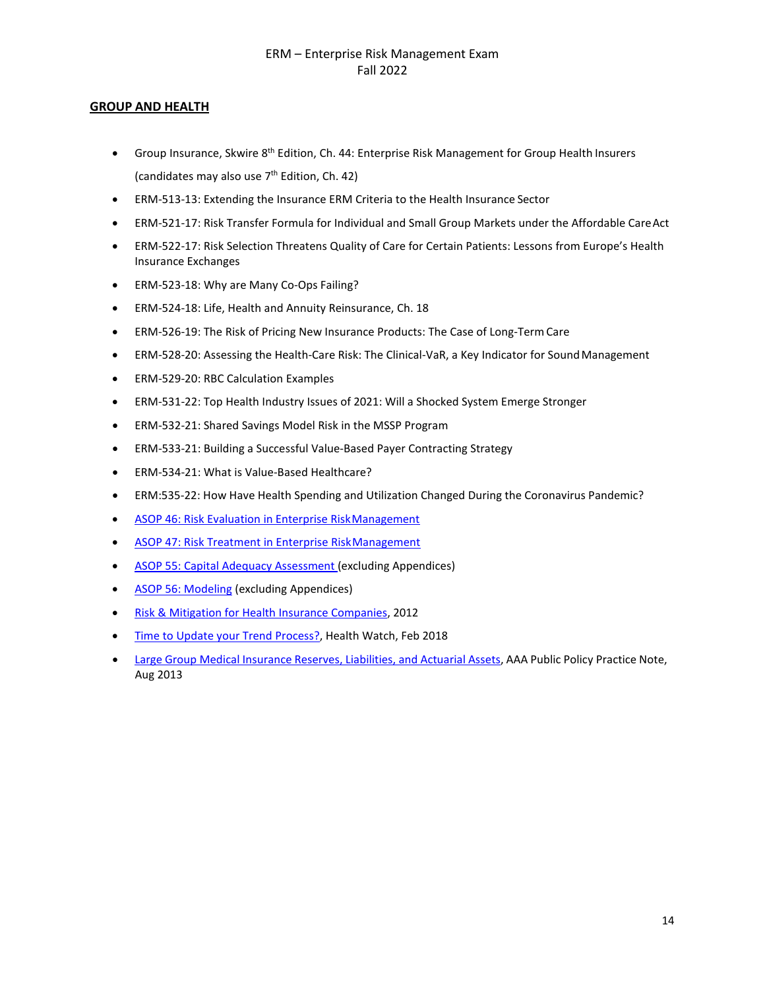# **GROUP AND HEALTH**

- Group Insurance, Skwire 8<sup>th</sup> Edition, Ch. 44: Enterprise Risk Management for Group Health Insurers (candidates may also use  $7<sup>th</sup>$  Edition, Ch. 42)
- ERM-513-13: Extending the Insurance ERM Criteria to the Health Insurance Sector
- ERM-521-17: Risk Transfer Formula for Individual and Small Group Markets under the Affordable CareAct
- ERM-522-17: Risk Selection Threatens Quality of Care for Certain Patients: Lessons from Europe's Health Insurance Exchanges
- ERM-523-18: Why are Many Co-Ops Failing?
- ERM-524-18: Life, Health and Annuity Reinsurance, Ch. 18
- ERM-526-19: The Risk of Pricing New Insurance Products: The Case of Long-TermCare
- ERM-528-20: Assessing the Health-Care Risk: The Clinical-VaR, a Key Indicator for Sound Management
- ERM-529-20: RBC Calculation Examples
- ERM-531-22: Top Health Industry Issues of 2021: Will a Shocked System Emerge Stronger
- ERM-532-21: Shared Savings Model Risk in the MSSP Program
- ERM-533-21: Building a Successful Value-Based Payer Contracting Strategy
- ERM-534-21: What is Value-Based Healthcare?
- ERM:535-22: How Have Health Spending and Utilization Changed During the Coronavirus Pandemic?
- [ASOP 46: Risk Evaluation in Enterprise RiskManagement](http://www.actuarialstandardsboard.org/pdf/asop046_165.pdf)
- [ASOP 47: Risk Treatment in Enterprise RiskManagement](http://www.actuarialstandardsboard.org/wp-content/uploads/2014/02/asop047_169.pdf)
- [ASOP 55: Capital Adequacy Assessment](http://www.actuarialstandardsboard.org/wp-content/uploads/2019/06/asop055_194.pdf) (excluding Appendices)
- [ASOP 56: Modeling](http://www.actuarialstandardsboard.org/wp-content/uploads/2020/01/asop056_195.pdf) (excluding Appendices)
- [Risk & Mitigation for Health Insurance](https://www.soa.org/globalassets/assets/Files/Research/Projects/research-2013-soa-health-research.pdf) Companies, 2012
- [Time to Update your Trend Process?,](https://www.soa.org/globalassets/assets/library/newsletters/health-watch-newsletter/2018/february/hsn-2017-iss85-barrett.pdf) Health Watch, Feb 2018
- Large Group Medical Insurance Reserves, [Liabilities,](https://www.actuary.org/sites/default/files/files/Large_Group_Medical_Business_Practice_Note_Aug2013.pdf) and Actuarial Assets, AAA Public Policy Practice Note, Aug 2013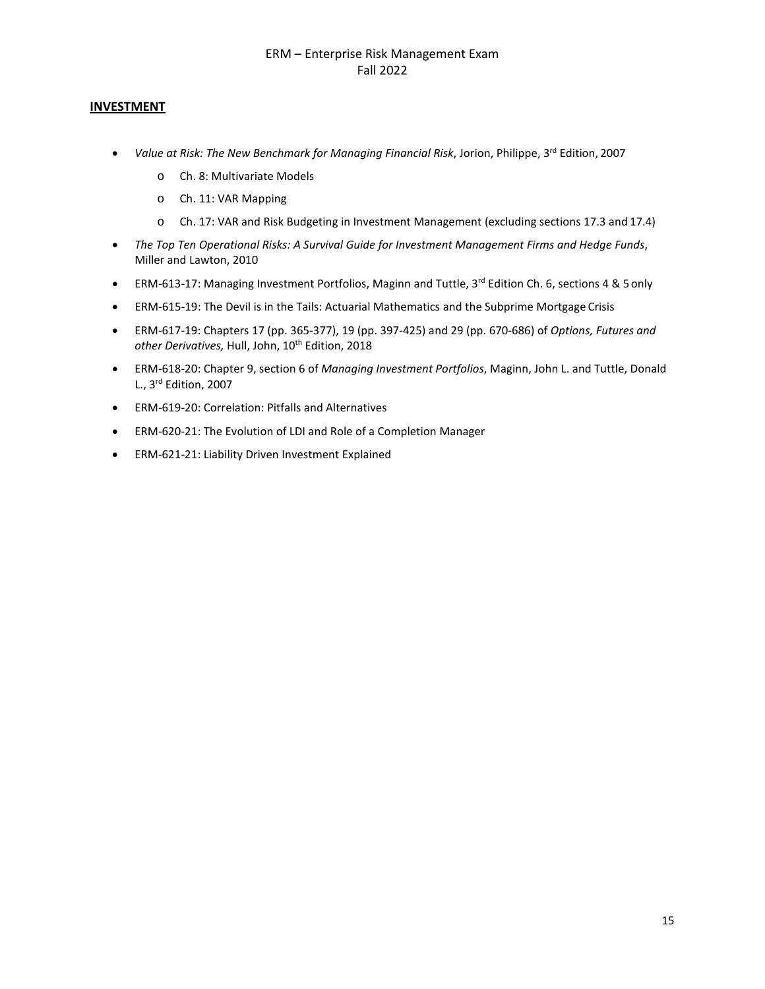# **INVESTMENT**

- *Value at Risk: The New Benchmark for Managing Financial Risk, Jorion, Philippe, 3<sup>rd</sup> Edition, 2007* 
	- o Ch. 8: Multivariate Models
	- o Ch. 11: VAR Mapping
	- o Ch. 17: VAR and Risk Budgeting in Investment Management (excluding sections 17.3 and 17.4)
- *The Top Ten Operational Risks: A Survival Guide for Investment Management Firms and Hedge Funds*, Miller and Lawton, 2010
- **ERM-613-17: Managing Investment Portfolios, Maginn and Tuttle, 3<sup>rd</sup> Edition Ch. 6, sections 4 & 5 only**
- ERM-615-19: The Devil is in the Tails: Actuarial Mathematics and the Subprime Mortgage Crisis
- ERM-617-19: Chapters 17 (pp. 365-377), 19 (pp. 397-425) and 29 (pp. 670-686) of *Options, Futures and*  other Derivatives, Hull, John, 10<sup>th</sup> Edition, 2018
- ERM-618-20: Chapter 9, section 6 of *Managing Investment Portfolios*, Maginn, John L. and Tuttle, Donald L., 3rd Edition, 2007
- ERM-619-20: Correlation: Pitfalls and Alternatives
- ERM-620-21: The Evolution of LDI and Role of a Completion Manager
- ERM-621-21: Liability Driven Investment Explained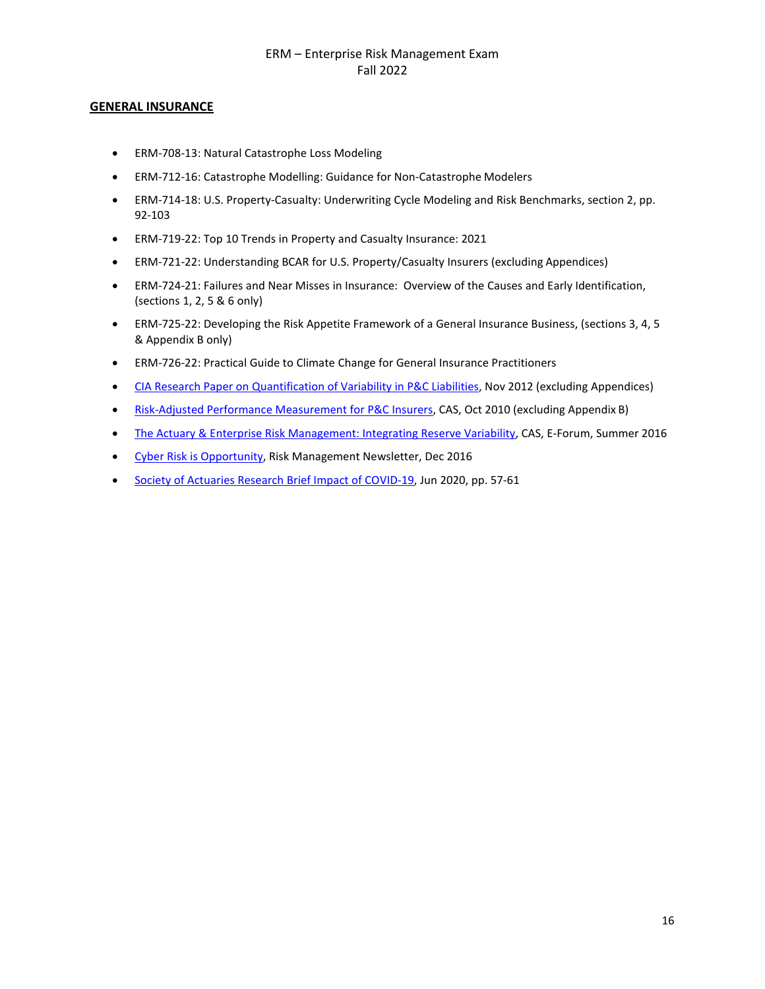# **GENERAL INSURANCE**

- ERM-708-13: Natural Catastrophe Loss Modeling
- ERM-712-16: Catastrophe Modelling: Guidance for Non-Catastrophe Modelers
- ERM-714-18: U.S. Property-Casualty: Underwriting Cycle Modeling and Risk Benchmarks, section 2, pp. 92-103
- ERM-719-22: Top 10 Trends in Property and Casualty Insurance: 2021
- ERM-721-22: Understanding BCAR for U.S. Property/Casualty Insurers (excluding Appendices)
- ERM-724-21: Failures and Near Misses in Insurance: Overview of the Causes and Early Identification, (sections 1, 2, 5 & 6 only)
- ERM-725-22: Developing the Risk Appetite Framework of a General Insurance Business, (sections 3, 4, 5 & Appendix B only)
- ERM-726-22: Practical Guide to Climate Change for General Insurance Practitioners
- [CIA Research Paper on Quantification of Variability in P&C](https://www.cia-ica.ca/docs/default-source/2012/212094e.pdf) Liabilities, Nov 2012 (excluding Appendices)
- [Risk-Adjusted Performance Measurement for P&C Insurers, C](https://www.casact.org/library/studynotes/goldfarb8.2.pdf)AS, Oct 2010 (excluding Appendix B)
- [The Actuary & Enterprise Risk Management: Integrating Reserve Variability,](https://www.casact.org/pubs/forum/16sforum/Shapland-Courchene.pdf) CAS, E-Forum, Summer 2016
- [Cyber Risk is Opportunity,](https://www.soa.org/globalassets/assets/library/newsletters/risk-management-newsletter/2016/december/rm-2016-iss-37-solomon.pdf) Risk Management Newsletter, Dec 2016
- [Society of Actuaries Research Brief Impact of COVID-19,](https://www.soa.org/globalassets/assets/files/resources/research-report/2020/impact-of-covid.pdf) Jun 2020, pp. 57-61